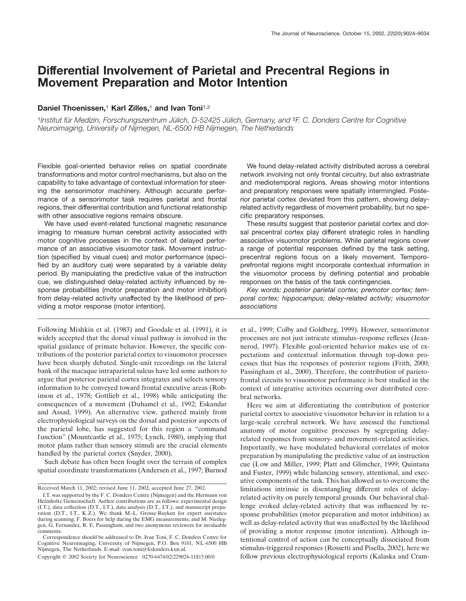# **Differential Involvement of Parietal and Precentral Regions in Movement Preparation and Motor Intention**

# **Daniel Thoenissen,**<sup>1</sup> **Karl Zilles,**<sup>1</sup> **and Ivan Toni**1,2

<sup>1</sup>*Institut fu¨ r Medizin, Forschungszentrum Ju¨ lich, D-52425 Ju¨ lich, Germany, and* <sup>2</sup>*F. C. Donders Centre for Cognitive Neuroimaging, University of Nijmegen, NL-6500 HB Nijmegen, The Netherlands*

Flexible goal-oriented behavior relies on spatial coordinate transformations and motor control mechanisms, but also on the capability to take advantage of contextual information for steering the sensorimotor machinery. Although accurate performance of a sensorimotor task requires parietal and frontal regions, their differential contribution and functional relationship with other associative regions remains obscure.

We have used event-related functional magnetic resonance imaging to measure human cerebral activity associated with motor cognitive processes in the context of delayed performance of an associative visuomotor task. Movement instruction (specified by visual cues) and motor performance (specified by an auditory cue) were separated by a variable delay period. By manipulating the predictive value of the instruction cue, we distinguished delay-related activity influenced by response probabilities (motor preparation and motor inhibition) from delay-related activity unaffected by the likelihood of providing a motor response (motor intention).

Following Mishkin et al. (1983) and Goodale et al. (1991), it is widely accepted that the dorsal visual pathway is involved in the spatial guidance of primate behavior. However, the specific contributions of the posterior parietal cortex to visuomotor processes have been sharply debated. Single-unit recordings on the lateral bank of the macaque intraparietal sulcus have led some authors to argue that posterior parietal cortex integrates and selects sensory information to be conveyed toward frontal executive areas (Robinson et al., 1978; Gottlieb et al., 1998) while anticipating the consequences of a movement (Duhamel et al., 1992; Eskandar and Assad, 1999). An alternative view, gathered mainly from electrophysiological surveys on the dorsal and posterior aspects of the parietal lobe, has suggested for this region a "command function" (Mountcastle et al., 1975; Lynch, 1980), implying that motor plans rather than sensory stimuli are the crucial elements handled by the parietal cortex (Snyder, 2000).

Such debate has often been fought over the terrain of complex spatial coordinate transformations (Andersen et al., 1997; Burnod

Copyright © 2002 Society for Neuroscience 0270-6474/02/229024-11\$15.00/0

We found delay-related activity distributed across a cerebral network involving not only frontal circuitry, but also extrastriate and mediotemporal regions. Areas showing motor intentions and preparatory responses were spatially intermingled. Posterior parietal cortex deviated from this pattern, showing delayrelated activity regardless of movement probability, but no specific preparatory responses.

These results suggest that posterior parietal cortex and dorsal precentral cortex play different strategic roles in handling associative visuomotor problems. While parietal regions cover a range of potential responses defined by the task setting, precentral regions focus on a likely movement. Temporoprefrontal regions might incorporate contextual information in the visuomotor process by defining potential and probable responses on the basis of the task contingencies.

*Key words: posterior parietal cortex; premotor cortex; temporal cortex; hippocampus; delay-related activity; visuomotor associations*

et al., 1999; Colby and Goldberg, 1999). However, sensorimotor processes are not just intricate stimulus–response reflexes (Jeannerod, 1997). Flexible goal-oriented behavior makes use of expectations and contextual information through top-down processes that bias the responses of posterior regions (Frith, 2000; Passingham et al., 2000). Therefore, the contribution of parietofrontal circuits to visuomotor performance is best studied in the context of integrative activities occurring over distributed cerebral networks.

Here we aim at differentiating the contribution of posterior parietal cortex to associative visuomotor behavior in relation to a large-scale cerebral network. We have assessed the functional anatomy of motor cognitive processes by segregating delayrelated responses from sensory- and movement-related activities. Importantly, we have modulated behavioral correlates of motor preparation by manipulating the predictive value of an instruction cue (Low and Miller, 1999; Platt and Glimcher, 1999; Quintana and Fuster, 1999) while balancing sensory, attentional, and executive components of the task. This has allowed us to overcome the limitations intrinsic in disentangling different roles of delayrelated activity on purely temporal grounds. Our behavioral challenge evoked delay-related activity that was influenced by response probabilities (motor preparation and motor inhibition) as well as delay-related activity that was unaffected by the likelihood of providing a motor response (motor intention). Although intentional control of action can be conceptually dissociated from stimulus-triggered responses (Rossetti and Pisella, 2002), here we follow previous electrophysiological reports (Kalaska and Cram-

Received March 11, 2002; revised June 11, 2002; accepted June 27, 2002.

I.T. was supported by the F. C. Donders Centre (Nijmegen) and the Hermann von Helmholtz Gemeinschaft. Author contributions are as follows: experimental design (I.T.), data collection (D.T., I.T.), data analysis (D.T., I.T.), and manuscript preparation (D.T., I.T., K.Z.). We thank M.-L. Grosse-Ruyken for expert assistance during scanning; F. Boers for help during the EMG measurements; and M. Niedeggen, G. Fernandez, R. E. Passingham, and two anonymous reviewers for invaluable comments.

Correspondence should be addressed to Dr. Ivan Toni, F. C. Donders Centre for Cognitive Neuroimaging, University of Nijmegen, P.O. Box 9101, NL-6500 HB Nijmegen, The Netherlands. E-mail: ivan.toni@fcdonders.kun.nl.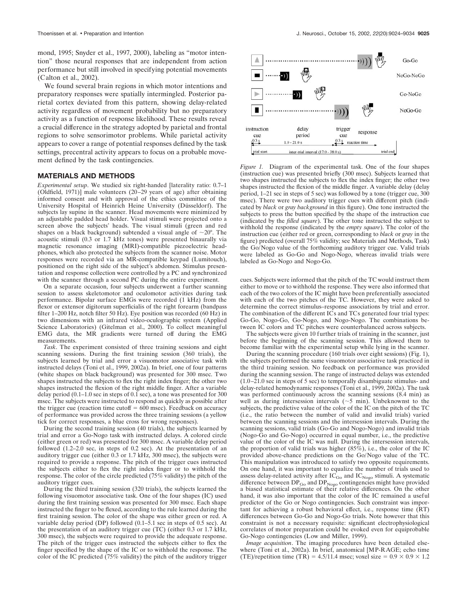mond, 1995; Snyder et al., 1997, 2000), labeling as "motor intention" those neural responses that are independent from action performance but still involved in specifying potential movements (Calton et al., 2002).

We found several brain regions in which motor intentions and preparatory responses were spatially intermingled. Posterior parietal cortex deviated from this pattern, showing delay-related activity regardless of movement probability but no preparatory activity as a function of response likelihood. These results reveal a crucial difference in the strategy adopted by parietal and frontal regions to solve sensorimotor problems. While parietal activity appears to cover a range of potential responses defined by the task settings, precentral activity appears to focus on a probable movement defined by the task contingencies.

### **MATERIALS AND METHODS**

*Experimental setup*. We studied six right-handed [laterality ratio: 0.7–1 (Oldfield, 1971)] male volunteers (20–29 years of age) after obtaining informed consent and with approval of the ethics committee of the University Hospital of Heinrich Heine University (Düsseldorf). The subjects lay supine in the scanner. Head movements were minimized by an adjustable padded head holder. Visual stimuli were projected onto a screen above the subjects' heads. The visual stimuli (green and red shapes on a black background) subtended a visual angle of  $\sim$ 20°. The acoustic stimuli (0.3 or 1.7 kHz tones) were presented binaurally via magnetic resonance imaging (MRI)-compatible piezoelectric headphones, which also protected the subjects from the scanner noise. Motor responses were recorded via an MR-compatible keypad (Lumitouch), positioned on the right side of the subject's abdomen. Stimulus presentation and response collection were controlled by a PC and synchronized with the scanner through a second PC during the entire experiment.

On a separate occasion, four subjects underwent a further scanning session to assess skeletomotor and oculomotor activities during task performance. Bipolar surface EMGs were recorded (1 kHz) from the flexor or extensor digitorum superficialis of the right forearm (bandpass filter 1–200 Hz, notch filter 50 Hz). Eye position was recorded (60 Hz) in two dimensions with an infrared video-oculographic system (Applied Science Laboratories) (Gitelman et al., 2000). To collect meaningful EMG data, the MR gradients were turned off during the EMG measurements.

*Task*. The experiment consisted of three training sessions and eight scanning sessions. During the first training session (360 trials), the subjects learned by trial and error a visuomotor associative task with instructed delays (Toni et al., 1999, 2002a). In brief, one of four patterns (white shapes on black background) was presented for 300 msec. Two shapes instructed the subjects to flex the right index finger; the other two shapes instructed the flexion of the right middle finger. After a variable delay period (0.1–1.0 sec in steps of 0.1 sec), a tone was presented for 300 msec. The subjects were instructed to respond as quickly as possible after the trigger cue (reaction time cutoff  $= 600$  msec). Feedback on accuracy of performance was provided across the three training sessions (a yellow tick for correct responses, a blue cross for wrong responses).

During the second training session (40 trials), the subjects learned by trial and error a Go-Nogo task with instructed delays. A colored circle (either green or red) was presented for 300 msec. A variable delay period followed (1.2–2.0 sec, in steps of 0.2 sec). At the presentation of an auditory trigger cue (either 0.3 or 1.7 kHz, 300 msec), the subjects were required to provide a response. The pitch of the trigger cues instructed the subjects either to flex the right index finger or to withhold the response. The color of the circle predicted (75% validity) the pitch of the auditory trigger cues.

During the third training session (320 trials), the subjects learned the following visuomotor associative task. One of the four shapes (IC) used during the first training session was presented for 300 msec. Each shape instructed the finger to be flexed, according to the rule learned during the first training session. The color of the shape was either green or red. A variable delay period (DP) followed (0.1–5.1 sec in steps of 0.5 sec). At the presentation of an auditory trigger cue (TC) (either 0.3 or 1.7 kHz, 300 msec), the subjects were required to provide the adequate response. The pitch of the trigger cues instructed the subjects either to flex the finger specified by the shape of the IC or to withhold the response. The color of the IC predicted (75% validity) the pitch of the auditory trigger



*Figure 1.* Diagram of the experimental task. One of the four shapes (instruction cue) was presented briefly (300 msec). Subjects learned that two shapes instructed the subjects to flex the index finger; the other two shapes instructed the flexion of the middle finger. A variable delay (delay period, 1–21 sec in steps of 5 sec) was followed by a tone (trigger cue, 300 msec). There were two auditory trigger cues with different pitch (indicated by *black* or *gray background* in this figure). One tone instructed the subjects to press the button specified by the shape of the instruction cue (indicated by the *filled square*). The other tone instructed the subject to withhold the response (indicated by the *empty square*). The color of the instruction cue (either red or green, corresponding to *black* or *gray* in the figure) predicted (overall 75% validity; see Materials and Methods, Task) the Go/Nogo value of the forthcoming auditory trigger cue. Valid trials were labeled as Go-Go and Nogo-Nogo, whereas invalid trials were labeled as Go-Nogo and Nogo-Go.

cues. Subjects were informed that the pitch of the TC would instruct them either to move or to withhold the response. They were also informed that each of the two colors of the IC might have been preferentially associated with each of the two pitches of the TC. However, they were asked to determine the correct stimulus–response associations by trial and error. The combination of the different ICs and TCs generated four trial types: Go-Go, Nogo-Go, Go-Nogo, and Nogo-Nogo. The combinations between IC colors and TC pitches were counterbalanced across subjects.

The subjects were given 10 further trials of training in the scanner, just before the beginning of the scanning session. This allowed them to become familiar with the experimental setup while lying in the scanner.

During the scanning procedure (160 trials over eight sessions) (Fig. 1), the subjects performed the same visuomotor associative task practiced in the third training session. No feedback on performance was provided during the scanning session. The range of instructed delays was extended (1.0–21.0 sec in steps of 5 sec) to temporally disambiguate stimulus- and delay-related hemodynamic responses (Toni et al., 1999, 2002a). The task was performed continuously across the scanning sessions (8.4 min) as well as during intersession intervals  $(\sim 5 \text{ min})$ . Unbeknownst to the subjects, the predictive value of the color of the IC on the pitch of the TC (i.e., the ratio between the number of valid and invalid trials) varied between the scanning sessions and the intersession intervals. During the scanning sessions, valid trials (Go-Go and Nogo-Nogo) and invalid trials (Nogo-Go and Go-Nogo) occurred in equal number, i.e., the predictive value of the color of the IC was null. During the intersession intervals, the proportion of valid trials was higher (85%), i.e., the color of the IC provided above-chance predictions on the Go/Nogo value of the TC. This manipulation was introduced to satisfy two opposite requirements. On one hand, it was important to equalize the number of trials used to assess delay-related activity after  $IC<sub>Go</sub>$  and  $IC<sub>Nogo</sub>$  stimuli. A systematic difference between  $DP_{Go}$  and  $DP_{Nogo}$  contingencies might have provided a biased statistical estimate of their relative differences. On the other hand, it was also important that the color of the IC remained a useful predictor of the Go or Nogo contingencies. Such constraint was important for achieving a robust behavioral effect, i.e., response time (RT) differences between Go-Go and Nogo-Go trials. Note however that this constraint is not a necessary requisite: significant electrophysiological correlates of motor preparation could be evoked even for equiprobable Go-Nogo contingencies (Low and Miller, 1999).

*Image acquisition*. The imaging procedures have been detailed elsewhere (Toni et al., 2002a). In brief, anatomical [MP-RAGE; echo time (TE)/repetition time (TR) = 4.5/11.4 msec; voxel size =  $0.9 \times 0.9 \times 1.2$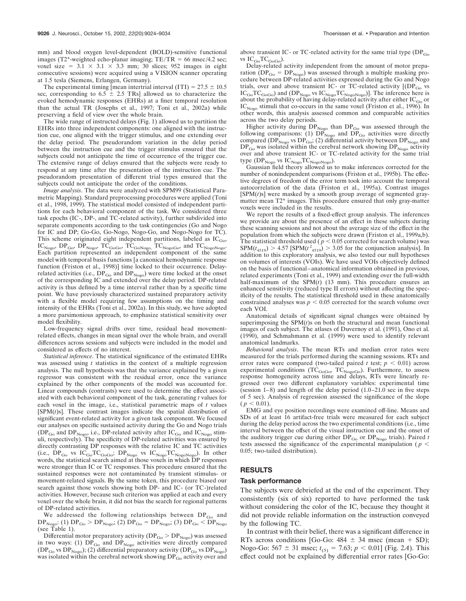mm) and blood oxygen level-dependent (BOLD)-sensitive functional images (T2\*-weighted echo-planar imaging;  $TE/TR = 66$  msec/4.2 sec; voxel size =  $3.1 \times 3.1 \times 3.3$  mm; 30 slices; 952 images in eight consecutive sessions) were acquired using a VISION scanner operating at 1.5 tesla (Siemens, Erlangen, Germany).

The experimental timing [mean intertrial interval  $(ITI) = 27.5 \pm 10.5$ sec, corresponding to  $6.5 \pm 2.5$  TRs] allowed us to characterize the evoked hemodynamic responses (EHRs) at a finer temporal resolution than the actual TR (Josephs et al., 1997; Toni et al., 2002a) while preserving a field of view over the whole brain.

The wide range of instructed delays (Fig. 1) allowed us to partition the EHRs into three independent components: one aligned with the instruction cue, one aligned with the trigger stimulus, and one extending over the delay period. The pseudorandom variation in the delay period between the instruction cue and the trigger stimulus ensured that the subjects could not anticipate the time of occurrence of the trigger cue. The extensive range of delays ensured that the subjects were ready to respond at any time after the presentation of the instruction cue. The pseudorandom presentation of different trial types ensured that the subjects could not anticipate the order of the conditions.

*Image analysis*. The data were analyzed with SPM99 (Statistical Parametric Mapping). Standard preprocessing procedures were applied (Toni et al., 1998, 1999). The statistical model consisted of independent partitions for each behavioral component of the task. We considered three task epochs (IC-, DP-, and TC-related activity), further subdivided into separate components according to the task contingencies (Go and Nogo for IC and DP; Go-Go, Go-Nogo, Nogo-Go, and Nogo-Nogo for TC). This scheme originated eight independent partitions, labeled as  $IC<sub>Go</sub>$ ,  $IC_{Nogo}$ ,  $DP_{Go}$ ,  $DP_{Nogo}$ ,  $TC_{GoGo}$ ,  $TC_{GoNogo}$ ,  $TC_{NogoGo}$ , and  $TC_{NogoNogo}$ . Each partition represented an independent component of the same model with temporal basis functions [a canonical hemodynamic response function (Friston et al., 1998)] time locked to their occurrence. Delayrelated activities (i.e.,  $DP_{Go}$  and  $DP_{Nogo}$ ) were time locked at the onset of the corresponding IC and extended over the delay period. DP-related activity is thus defined by a time interval rather than by a specific time point. We have previously characterized sustained preparatory activity with a flexible model requiring few assumptions on the timing and intensity of the EHRs (Toni et al., 2002a). In this study, we have adopted a more parsimonious approach, to emphasize statistical sensitivity over model flexibility.

Low-frequency signal drifts over time, residual head movementrelated effects, changes in mean signal over the whole brain, and overall differences across sessions and subjects were included in the model and considered as effects of no interest.

*Statistical inference*. The statistical significance of the estimated EHRs was assessed using *t* statistics in the context of a multiple regression analysis. The null hypothesis was that the variance explained by a given regressor was consistent with the residual error, once the variance explained by the other components of the model was accounted for. Linear compounds (contrasts) were used to determine the effect associated with each behavioral component of the task, generating *t* values for each voxel in the image, i.e., statistical parametric maps of *t* values [SPM(*t*)s]. These contrast images indicate the spatial distribution of significant event-related activity for a given task component. We focused our analyses on specific sustained activity during the Go and Nogo trials  $(DP_{Go}$  and  $DP_{Nogo}$ , i.e., DP-related activity after  $IC_{Go}$  and  $IC_{Nogo}$  stim-<br>uli, respectively). The specificity of DP-related activities was ensured by directly contrasting DP responses with the relative IC and TC activities (i.e.,  $DP_{Go}$  vs  $IC_{Go}TC_{GoGo}$ ;  $DP_{Nogo}$  vs  $IC_{Nogo}TC_{Nogo}$ ). In other words, the statistical search aimed at those voxels in which DP responses were stronger than IC or TC responses. This procedure ensured that the sustained responses were not contaminated by transient stimulus- or movement-related signals. By the same token, this procedure biased our search against those voxels showing both DP- and IC- (or TC-)related activities. However, because such criterion was applied at each and every voxel over the whole brain, it did not bias the search for regional patterns of DP-related activities.

We addressed the following relationships between  $DP<sub>Go</sub>$  and  $DP_{\text{Nogo}}$ : (1)  $DP_{\text{Go}} > DP_{\text{Nogo}}$ ; (2)  $DP_{\text{Go}} = DP_{\text{Nogo}}$ ; (3)  $DP_{\text{Go}} < DP_{\text{Nogo}}$ (see Table 1).

Differential motor preparatory activity ( $DP<sub>Go</sub> > DP<sub>Nogo</sub>$ ) was assessed in two ways: (1)  $DP<sub>Go</sub>$  and  $DP<sub>Nogo</sub>$  activities were directly compared  $(DP_{Go}$  vs  $DP_{Nogo}$ ); (2) differential preparatory activity  $(DP_{Go}$  vs  $DP_{Nogo}$ ) was isolated within the cerebral network showing  $DP<sub>Go</sub>$  activity over and

above transient IC- or TC-related activity for the same trial type  $(DP<sub>Go</sub>)$ vs  $IC_{Go}TC_{GoGo}$ ).

Delay-related activity independent from the amount of motor preparation ( $DP_{Go} = DP_{Nogo}$ ) was assessed through a multiple masking procedure between DP-related activities expressed during the Go and Nogo trials, over and above transient IC- or TC-related activity  $[$ (DP $<sub>Go</sub>$  vs</sub>  $IC_{Go}TC_{GoGo)}$  and  $(DP_{Nogo}$  vs  $IC_{Nogo}TC_{NogoNogo})$ ]. The inference here is about the probability of having delay-related activity after either  $IC_{Go}$  or  $IC_{Nogo}$  stimuli that co-occurs in the same voxel (Friston et al., 1996). In other words, this analysis assessed common and comparable activities across the two delay periods.

Higher activity during  $DP<sub>Nogo</sub>$  than  $DP<sub>Go</sub>$  was assessed through the following comparisons: (1)  $DP_{Nogo}$  and  $DP_{Go}$  activities were directly compared (DP<sub>Nogo</sub> vs DP<sub>Go</sub>; (2) differential activity between DP<sub>Nogo</sub> and  $DP<sub>Go</sub>$  was isolated within the cerebral network showing  $DP<sub>Nogo</sub>$  activity over and above transient IC- or TC-related activity for the same trial type ( $DP_{Nogo}$  vs  $IC_{Nogo}TC_{NogoNogo}$ ).<br>Gaussian field theory allowed us to make inferences corrected for the

number of nonindependent comparisons (Friston et al., 1995b). The effective degrees of freedom of the error term took into account the temporal autocorrelation of the data (Friston et al., 1995a). Contrast images [SPM(*t*)s] were masked by a smooth group average of segmented graymatter mean T2\* images. This procedure ensured that only gray-matter voxels were included in the results.

We report the results of a fixed-effect group analysis. The inferences we provide are about the presence of an effect in these subjects during these scanning sessions and not about the average size of the effect in the population from which the subjects were drawn (Friston et al., 1999a,b). The statistical threshold used ( $p < 0.05$  corrected for search volume) was  $SPM(t_{4519}) > 4.57$  [SPM( $t^2$ <sub>4519</sub>)  $> 3.05$  for the conjunction analysis]. In addition to this exploratory analysis, we also tested our null hypotheses on volumes of interests (VOIs). We have used VOIs objectively defined on the basis of functional–anatomical information obtained in previous, related experiments (Toni et al., 1999) and extending over the full-width half-maximum of the  $SPM(t)$  (13 mm). This procedure ensures an enhanced sensitivity (reduced type II errors) without affecting the specificity of the results. The statistical threshold used in these anatomically constrained analyses was  $p < 0.05$  corrected for the search volume over each VOI.

Anatomical details of significant signal changes were obtained by superimposing the  $SPM(t)$ s on both the structural and mean functional images of each subject. The atlases of Duvernoy et al. (1991), Ono et al. (1990), and Schmahmann et al. (1999) were used to identify relevant anatomical landmarks.

*Behavioral analysis*. The mean RTs and median error rates were measured for the trials performed during the scanning sessions. RTs and error rates were compared (two-tailed paired  $t$  test;  $p < 0.01$ ) across experimental conditions ( $TC_{GoGo}$ ,  $TC_{NogoGo}$ ). Furthermore, to assess response homogeneity across time and delays, RTs were linearly regressed over two different explanatory variables: experimental time (session  $1-8$ ) and length of the delay period  $(1.0-21.0 \text{ sec in five steps})$ of 5 sec). Analysis of regression assessed the significance of the slope  $(p < 0.01)$ .

EMG and eye position recordings were examined off-line. Means and SDs of at least 16 artifact-free trials were measured for each subject during the delay period across the two experimental conditions (i.e., time interval between the offset of the visual instruction cue and the onset of the auditory trigger cue during either  $DP_{Go}$  or  $DP_{Nogo}$  trials). Paired *t* tests assessed the significance of the experimental manipulation ( $p <$ 0.05; two-tailed distribution).

#### **RESULTS**

#### **Task performance**

The subjects were debriefed at the end of the experiment. They consistently (six of six) reported to have performed the task without considering the color of the IC, because they thought it did not provide reliable information on the instruction conveyed by the following TC.

In contrast with their belief, there was a significant difference in RTs across conditions [Go-Go:  $484 \pm 34$  msec (mean  $+$  SD); Nogo-Go: 567  $\pm$  31 msec;  $t_{(5)} = 7.63$ ;  $p < 0.01$ ] (Fig. 2*A*). This effect could not be explained by differential error rates [Go-Go: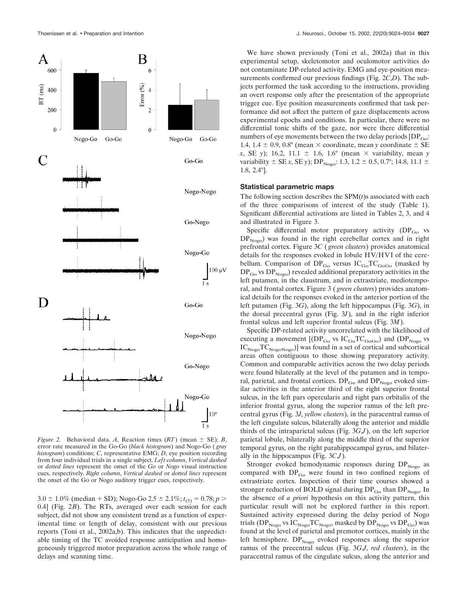

*Figure 2.* Behavioral data. *A*, Reaction times  $(RT)$  (mean  $\pm$  SE); *B*, error rate measured in the Go-Go (*black histogram*) and Nogo-Go ( *gray histogram*) conditions; *C*, representative EMG; *D*, eye position recording from four individual trials in a single subject. *Left column*, *Vertical dashed* or *dotted lines* represent the onset of the *Go* or *Nogo* visual instruction cues, respectively. *Right column*, *Vertical dashed* or *dotted lines* represent the onset of the Go or Nogo auditory trigger cues, respectively.

 $3.0 \pm 1.0\%$  (median + SD); Nogo-Go 2.5  $\pm$  2.1%;  $t_{(5)} = 0.78; p >$ 0.4] (Fig. 2*B*). The RTs, averaged over each session for each subject, did not show any consistent trend as a function of experimental time or length of delay, consistent with our previous reports (Toni et al., 2002a,b). This indicates that the unpredictable timing of the TC avoided response anticipation and homogeneously triggered motor preparation across the whole range of delays and scanning time.

We have shown previously (Toni et al., 2002a) that in this experimental setup, skeletomotor and oculomotor activities do not contaminate DP-related activity. EMG and eye-position measurements confirmed our previous findings (Fig. 2*C*,*D*). The subjects performed the task according to the instructions, providing an overt response only after the presentation of the appropriate trigger cue. Eye position measurements confirmed that task performance did not affect the pattern of gaze displacements across experimental epochs and conditions. In particular, there were no differential tonic shifts of the gaze, nor were there differential numbers of eye movements between the two delay periods  $[DP<sub>G</sub>]<sub>G</sub>$ : 1.4, 1.4  $\pm$  0.9, 0.8° (mean  $\times$  coordinate, mean *y* coordinate  $\pm$  SE *x*, SE *y*); 16.2, 11.1  $\pm$  1.6, 1.6° (mean  $\times$  variability, mean *y* variability  $\pm$  SE *x*, SE *y*); DP<sub>Nogo</sub>: 1.3, 1.2  $\pm$  0.5, 0.7°; 14.8, 11.1  $\pm$ 1.8, 2.4°].

# **Statistical parametric maps**

The following section describes the SPM(*t*)s associated with each of the three comparisons of interest of the study (Table 1). Significant differential activations are listed in Tables 2, 3, and 4 and illustrated in Figure 3.

Specific differential motor preparatory activity  $(DP_{Go}$  vs  $DP<sub>Nogo</sub>$ ) was found in the right cerebellar cortex and in right prefrontal cortex. Figure 3*C* ( *green clusters*) provides anatomical details for the responses evoked in lobule HV/HVI of the cerebellum. Comparison of  $DP_{Go}$  versus  $IC_{Go}TC_{GoGo}$  (masked by  $DP<sub>Go</sub>$  vs  $DP<sub>Nogo</sub>$ ) revealed additional preparatory activities in the left putamen, in the claustrum, and in extrastriate, mediotemporal, and frontal cortex. Figure 3 ( *green clusters*) provides anatomical details for the responses evoked in the anterior portion of the left putamen (Fig. 3*G*), along the left hippocampus (Fig. 3*G*), in the dorsal precentral gyrus (Fig. 3*J*), and in the right inferior frontal sulcus and left superior frontal sulcus (Fig. 3*M*).

Specific DP-related activity uncorrelated with the likelihood of executing a movement  $[(DP<sub>Go</sub> vs IC<sub>Go</sub>TC<sub>GoGo</sub>)$  and  $(DP<sub>Nogo</sub> vs$  $IC_{Nogo}TC_{NogoNogo})$ ] was found in a set of cortical and subcortical areas often contiguous to those showing preparatory activity. Common and comparable activities across the two delay periods were found bilaterally at the level of the putamen and in temporal, parietal, and frontal cortices.  $DP_{Go}$  and  $DP_{Nogo}$  evoked similar activities in the anterior third of the right superior frontal sulcus, in the left pars opercularis and right pars orbitalis of the inferior frontal gyrus, along the superior ramus of the left precentral gyrus (Fig. 3*J*, *yellow clusters*), in the paracentral ramus of the left cingulate sulcus, bilaterally along the anterior and middle thirds of the intraparietal sulcus (Fig. 3*G*,*J*), on the left superior parietal lobule, bilaterally along the middle third of the superior temporal gyrus, on the right parahippocampal gyrus, and bilaterally in the hippocampus (Fig. 3*C*,*J*).

Stronger evoked hemodynamic responses during  $DP_{Nogo}$  as compared with  $DP<sub>Go</sub>$  were found in two confined regions of extrastriate cortex. Inspection of their time courses showed a stronger reduction of BOLD signal during  $DP<sub>Go</sub>$  than  $DP<sub>Nogo</sub>$ . In the absence of *a priori* hypothesis on this activity pattern, this particular result will not be explored further in this report. Sustained activity expressed during the delay period of Nogo trials ( $DP_{Nogo}$  vs  $IC_{Nogo}TC_{Nogo}$ , masked by  $DP_{Nogo}$  vs  $DP_{Go}$ ) was found at the level of parietal and premotor cortices, mainly in the left hemisphere.  $DP_{Nogo}$  evoked responses along the superior ramus of the precentral sulcus (Fig. 3*G*,*J*, *red clusters*), in the paracentral ramus of the cingulate sulcus, along the anterior and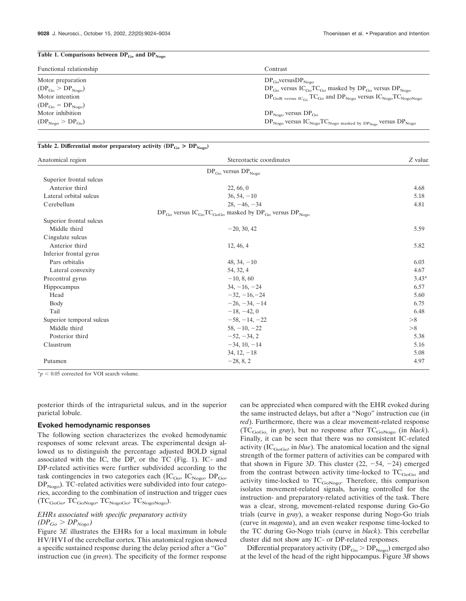| Table 1. Comparisons between $DP_{Go}$ and $DP_{Nogo}$ |                                                                                              |  |
|--------------------------------------------------------|----------------------------------------------------------------------------------------------|--|
| Functional relationship                                | Contrast                                                                                     |  |
| Motor preparation                                      | $DP_{Go}$ versus $DP_{Nogo}$                                                                 |  |
| $(DP_{Go} > DP_{Nogo})$                                | $DP_{Go}$ versus $IC_{Go}TC_{Go}$ masked by $DP_{Go}$ versus $DP_{Noeo}$                     |  |
| Motor intention                                        | $DP_{GoR \text{ versus } IC_{Go}}$ $TC_{Go}$ and $DP_{Nogo}$ versus $IC_{Nogo}TC_{NogoNogo}$ |  |
| $(DP_{Go} = DP_{Nogo})$                                |                                                                                              |  |
| Motor inhibition                                       | $DP_{Nogo}$ versus $DP_{Go}$                                                                 |  |
| $(DP_{Nogo} > DP_{Go})$                                | $DP_{Nogo}$ versus $IC_{Nogo}TC_{Nogo}$ masked by $DP_{Nogo}$ versus $DP_{Nogo}$             |  |

## Table 2. Differential motor preparatory activity ( $DP<sub>Go</sub> > DP<sub>Nogo</sub>$ )

| Anatomical region        | Stereotactic coordinates                                                   | $Z$ value |
|--------------------------|----------------------------------------------------------------------------|-----------|
|                          | $DP_{Go}$ versus $DP_{Nogo}$                                               |           |
| Superior frontal sulcus  |                                                                            |           |
| Anterior third           | 22, 66, 0                                                                  | 4.68      |
| Lateral orbital sulcus   | $36, 54, -10$                                                              | 5.18      |
| Cerebellum               | $28, -46, -34$                                                             | 4.81      |
|                          | $DP_{Go}$ versus $IC_{Go}TC_{GoGo}$ masked by $DP_{Go}$ versus $DP_{Nogo}$ |           |
| Superior frontal sulcus  |                                                                            |           |
| Middle third             | $-20, 30, 42$                                                              | 5.59      |
| Cingulate sulcus         |                                                                            |           |
| Anterior third           | 12, 46, 4                                                                  | 5.82      |
| Inferior frontal gyrus   |                                                                            |           |
| Pars orbitalis           | $48, 34, -10$                                                              | 6.03      |
| Lateral convexity        | 54, 32, 4                                                                  | 4.67      |
| Precentral gyrus         | $-10, 8, 60$                                                               | $3.43*$   |
| Hippocampus              | $34, -16, -24$                                                             | 6.57      |
| Head                     | $-32, -16, -24$                                                            | 5.60      |
| Body                     | $-26, -34, -14$                                                            | 6.75      |
| Tail                     | $-18, -42, 0$                                                              | 6.48      |
| Superior temporal sulcus | $-58, -14, -22$                                                            | >8        |
| Middle third             | $58, -10, -22$                                                             | >8        |
| Posterior third          | $-52, -34, 2$                                                              | 5.38      |
| Claustrum                | $-34, 10, -14$                                                             | 5.16      |
|                          | $34, 12, -18$                                                              | 5.08      |
| Putamen                  | $-28, 8, 2$                                                                | 4.97      |

 $*_{p}$  < 0.05 corrected for VOI search volume.

posterior thirds of the intraparietal sulcus, and in the superior parietal lobule.

#### **Evoked hemodynamic responses**

The following section characterizes the evoked hemodynamic responses of some relevant areas. The experimental design allowed us to distinguish the percentage adjusted BOLD signal associated with the IC, the DP, or the TC (Fig. 1). IC- and DP-related activities were further subdivided according to the task contingencies in two categories each  $(IC_{Go}$ ,  $IC_{Nogo}$ ,  $DP_{Go}$ ,  $DP<sub>Nogo</sub>$ ). TC-related activities were subdivided into four categories, according to the combination of instruction and trigger cues  $(TC_{GoGo}, TC_{GoNogo}, TC_{NogoGo}, TC_{NogoNogo}).$ 

# *EHRs associated with specific preparatory activity*  $(DP_{Go} > DP_{Nogo})$

Figure 3*E* illustrates the EHRs for a local maximum in lobule HV/HVI of the cerebellar cortex. This anatomical region showed a specific sustained response during the delay period after a "Go" instruction cue (in *green*). The specificity of the former response

can be appreciated when compared with the EHR evoked during the same instructed delays, but after a "Nogo" instruction cue (in *red*). Furthermore, there was a clear movement-related response  $(TC_{\text{GoGo}})$  in *gray*), but no response after  $TC_{\text{GoNogo}}$  (in *black*). Finally, it can be seen that there was no consistent IC-related activity ( $IC_{GoGo}$ , in *blue*). The anatomical location and the signal strength of the former pattern of activities can be compared with that shown in Figure 3D. This cluster  $(22, -54, -24)$  emerged from the contrast between activity time-locked to  $TC_{\text{GoGo}}$  and activity time-locked to  $TC_{GoNogo}$ . Therefore, this comparison isolates movement-related signals, having controlled for the instruction- and preparatory-related activities of the task. There was a clear, strong, movement-related response during Go-Go trials (curve in *gray*), a weaker response during Nogo-Go trials (curve in *magenta*), and an even weaker response time-locked to the TC during Go-Nogo trials (curve in *black*). This cerebellar cluster did not show any IC- or DP-related responses.

Differential preparatory activity ( $DP<sub>Go</sub> > DP<sub>Nogo</sub>$ ) emerged also at the level of the head of the right hippocampus. Figure 3*B* shows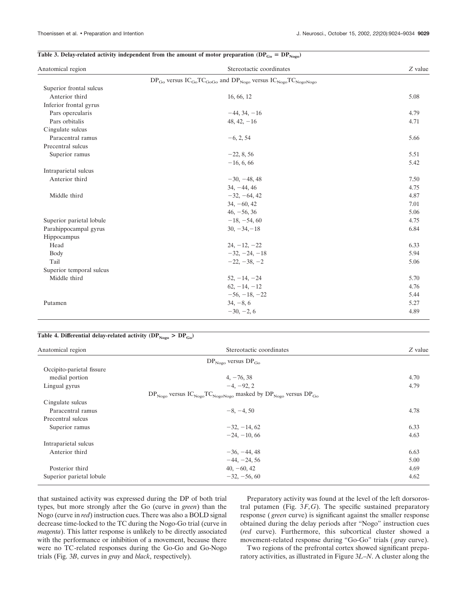# Table 3. Delay-related activity independent from the amount of motor preparation  $(DP_{Go} = DP_{Nogo})$

| Anatomical region        | Stereotactic coordinates                                                                                     | Z value |
|--------------------------|--------------------------------------------------------------------------------------------------------------|---------|
|                          | $DP_{\rm Go}$ versus $IC_{\rm Go}TC_{\rm GoGo}$ and $DP_{\rm Nogo}$ versus $IC_{\rm Nogo}TC_{\rm Nogo Nogo}$ |         |
| Superior frontal sulcus  |                                                                                                              |         |
| Anterior third           | 16, 66, 12                                                                                                   | 5.08    |
| Inferior frontal gyrus   |                                                                                                              |         |
| Pars opercularis         | $-44, 34, -16$                                                                                               | 4.79    |
| Pars orbitalis           | $48, 42, -16$                                                                                                | 4.71    |
| Cingulate sulcus         |                                                                                                              |         |
| Paracentral ramus        | $-6, 2, 54$                                                                                                  | 5.66    |
| Precentral sulcus        |                                                                                                              |         |
| Superior ramus           | $-22, 8, 56$                                                                                                 | 5.51    |
|                          | $-16, 6, 66$                                                                                                 | 5.42    |
| Intraparietal sulcus     |                                                                                                              |         |
| Anterior third           | $-30, -48, 48$                                                                                               | 7.50    |
|                          | $34, -44, 46$                                                                                                | 4.75    |
| Middle third             | $-32, -64, 42$                                                                                               | 4.87    |
|                          | $34, -60, 42$                                                                                                | 7.01    |
|                          | $46, -56, 36$                                                                                                | 5.06    |
| Superior parietal lobule | $-18, -54, 60$                                                                                               | 4.75    |
| Parahippocampal gyrus    | $30, -34, -18$                                                                                               | 6.84    |
| Hippocampus              |                                                                                                              |         |
| Head                     | $24, -12, -22$                                                                                               | 6.33    |
| <b>Body</b>              | $-32, -24, -18$                                                                                              | 5.94    |
| Tail                     | $-22, -38, -2$                                                                                               | 5.06    |
| Superior temporal sulcus |                                                                                                              |         |
| Middle third             | $52, -14, -24$                                                                                               | 5.70    |
|                          | $62, -14, -12$                                                                                               | 4.76    |
|                          | $-56, -18, -22$                                                                                              | 5.44    |
| Putamen                  | $34, -8, 6$                                                                                                  | 5.27    |
|                          | $-30, -2, 6$                                                                                                 | 4.89    |
|                          |                                                                                                              |         |

# Table 4. Differential delay-related activity  $(DP_{Nogo} > DP_{Go})$

| Anatomical region         | Stereotactic coordinates                                                           | Z value |
|---------------------------|------------------------------------------------------------------------------------|---------|
|                           | $DP_{\text{Nogo}}$ versus $DP_{\text{Go}}$                                         |         |
| Occipito-parietal fissure |                                                                                    |         |
| medial portion            | $4, -76, 38$                                                                       | 4.70    |
| Lingual gyrus             | $-4, -92, 2$                                                                       | 4.79    |
|                           | $DP_{Nogo}$ versus $IC_{Nogo}TC_{NogoNogo}$ masked by $DP_{Nogo}$ versus $DP_{Go}$ |         |
| Cingulate sulcus          |                                                                                    |         |
| Paracentral ramus         | $-8, -4, 50$                                                                       | 4.78    |
| Precentral sulcus         |                                                                                    |         |
| Superior ramus            | $-32, -14, 62$                                                                     | 6.33    |
|                           | $-24, -10, 66$                                                                     | 4.63    |
| Intraparietal sulcus      |                                                                                    |         |
| Anterior third            | $-36, -44, 48$                                                                     | 6.63    |
|                           | $-44, -24, 56$                                                                     | 5.00    |
| Posterior third           | $40, -60, 42$                                                                      | 4.69    |
| Superior parietal lobule  | $-32, -56, 60$                                                                     | 4.62    |

that sustained activity was expressed during the DP of both trial types, but more strongly after the Go (curve in *green*) than the Nogo (curve in *red*) instruction cues. There was also a BOLD signal decrease time-locked to the TC during the Nogo-Go trial (curve in *magenta*). This latter response is unlikely to be directly associated with the performance or inhibition of a movement, because there were no TC-related responses during the Go-Go and Go-Nogo trials (Fig. 3*B*, curves in *gray* and *black*, respectively).

Preparatory activity was found at the level of the left dorsorostral putamen (Fig. 3*F*,*G*). The specific sustained preparatory response ( *green* curve) is significant against the smaller response obtained during the delay periods after "Nogo" instruction cues (*red* curve). Furthermore, this subcortical cluster showed a movement-related response during "Go-Go" trials ( *gray* curve).

Two regions of the prefrontal cortex showed significant preparatory activities, as illustrated in Figure 3*L*–*N*. A cluster along the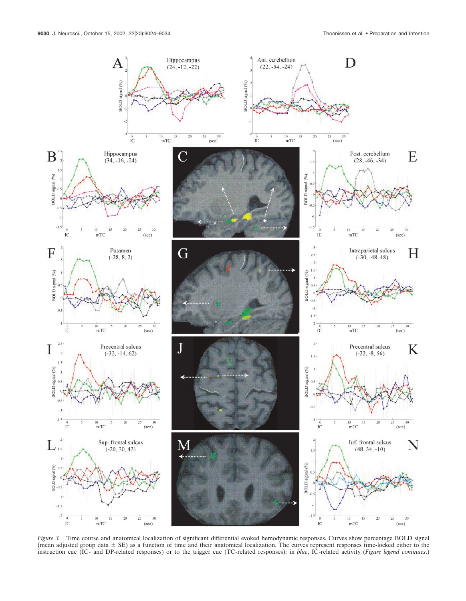

*Figure 3.* Time course and anatomical localization of significant differential evoked hemodynamic responses. Curves show percentage BOLD signal (mean adjusted group data  $\pm$  SE) as a function of time and their anatomical localization. The curves represent responses time-locked either to the instruction cue (IC- and DP-related responses) or to the trigger cue (TC-related responses): in *blue*, IC-related activity (*Figure legend continues*.)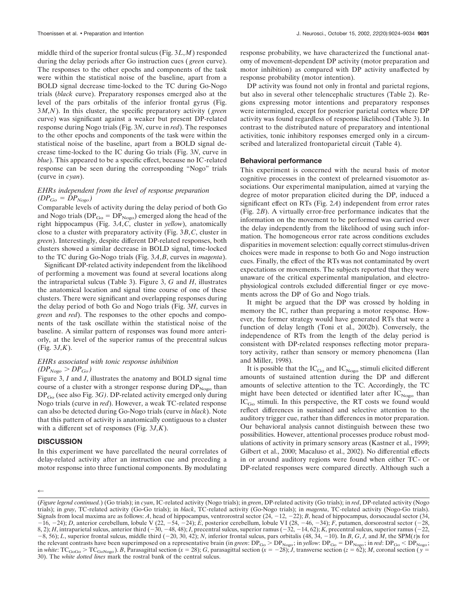middle third of the superior frontal sulcus (Fig. 3*L*,*M*) responded during the delay periods after Go instruction cues ( *green* curve). The responses to the other epochs and components of the task were within the statistical noise of the baseline, apart from a BOLD signal decrease time-locked to the TC during Go-Nogo trials (*black* curve). Preparatory responses emerged also at the level of the pars orbitalis of the inferior frontal gyrus (Fig. 3*M*,*N*). In this cluster, the specific preparatory activity ( *green* curve) was significant against a weaker but present DP-related response during Nogo trials (Fig. 3*N*, curve in *red*). The responses to the other epochs and components of the task were within the statistical noise of the baseline, apart from a BOLD signal decrease time-locked to the IC during Go trials (Fig. 3*N*, curve in *blue*). This appeared to be a specific effect, because no IC-related response can be seen during the corresponding "Nogo" trials (curve in *cyan*).

# *EHRs independent from the level of response preparation*  $(DP_{Go} = DP_{Nogo})$

Comparable levels of activity during the delay period of both Go and Nogo trials ( $DP<sub>Go</sub> = DP<sub>Nogo</sub>$ ) emerged along the head of the right hippocampus (Fig. 3*A*,*C*, cluster in *yellow*), anatomically close to a cluster with preparatory activity (Fig. 3*B*,*C*, cluster in *green*). Interestingly, despite different DP-related responses, both clusters showed a similar decrease in BOLD signal, time-locked to the TC during Go-Nogo trials (Fig. 3*A*,*B*, curves in *magenta*).

Significant DP-related activity independent from the likelihood of performing a movement was found at several locations along the intraparietal sulcus (Table 3). Figure 3, *G* and *H*, illustrates the anatomical location and signal time course of one of these clusters. There were significant and overlapping responses during the delay period of both Go and Nogo trials (Fig. 3*H*, curves in *green* and *red*). The responses to the other epochs and components of the task oscillate within the statistical noise of the baseline. A similar pattern of responses was found more anteriorly, at the level of the superior ramus of the precentral sulcus (Fig. 3*J*,*K*).

# *EHRs associated with tonic response inhibition*  $(DP_{Nogo} > DP_{Go})$

Figure 3, *I* and *J*, illustrates the anatomy and BOLD signal time course of a cluster with a stronger response during  $DP<sub>Nogo</sub>$  than DPGo (see also Fig. 3*G)*. DP-related activity emerged only during Nogo trials (curve in *red*). However, a weak TC-related response can also be detected during Go-Nogo trials (curve in *black*). Note that this pattern of activity is anatomically contiguous to a cluster with a different set of responses (Fig. 3*J*,*K*).

# **DISCUSSION**

In this experiment we have parcellated the neural correlates of delay-related activity after an instruction cue and preceding a motor response into three functional components. By modulating response probability, we have characterized the functional anatomy of movement-dependent DP activity (motor preparation and motor inhibition) as compared with DP activity unaffected by response probability (motor intention).

DP activity was found not only in frontal and parietal regions, but also in several other telencephalic structures (Table 2). Regions expressing motor intentions and preparatory responses were intermingled, except for posterior parietal cortex where DP activity was found regardless of response likelihood (Table 3). In contrast to the distributed nature of preparatory and intentional activities, tonic inhibitory responses emerged only in a circumscribed and lateralized frontoparietal circuit (Table 4).

### **Behavioral performance**

This experiment is concerned with the neural basis of motor cognitive processes in the context of prelearned visuomotor associations. Our experimental manipulation, aimed at varying the degree of motor preparation elicited during the DP, induced a significant effect on RTs (Fig. 2*A*) independent from error rates (Fig. 2*B*). A virtually error-free performance indicates that the information on the movement to be performed was carried over the delay independently from the likelihood of using such information. The homogeneous error rate across conditions excludes disparities in movement selection: equally correct stimulus-driven choices were made in response to both Go and Nogo instruction cues. Finally, the effect of the RTs was not contaminated by overt expectations or movements. The subjects reported that they were unaware of the critical experimental manipulation, and electrophysiological controls excluded differential finger or eye movements across the DP of Go and Nogo trials.

It might be argued that the DP was crossed by holding in memory the IC, rather than preparing a motor response. However, the former strategy would have generated RTs that were a function of delay length (Toni et al., 2002b). Conversely, the independence of RTs from the length of the delay period is consistent with DP-related responses reflecting motor preparatory activity, rather than sensory or memory phenomena (Ilan and Miller, 1998).

It is possible that the  $IC_{Go}$  and  $IC_{Nogo}$  stimuli elicited different amounts of sustained attention during the DP and different amounts of selective attention to the TC. Accordingly, the TC might have been detected or identified later after  $IC_{\text{Nogo}}$  than  $IC<sub>Go</sub> stimuli. In this perspective, the RT costs we found would$ reflect differences in sustained and selective attention to the auditory trigger cue, rather than differences in motor preparation. Our behavioral analysis cannot distinguish between these two possibilities. However, attentional processes produce robust modulations of activity in primary sensory areas (Kastner et al., 1999; Gilbert et al., 2000; Macaluso et al., 2002). No differential effects in or around auditory regions were found when either TC- or DP-related responses were compared directly. Although such a

 $\leftarrow$ 

<sup>(</sup>*Figure legend continued.*) (Go trials); in *cyan*, IC-related activity (Nogo trials); in *green*, DP-related activity (Go trials); in *red*, DP-related activity (Nogo trials); in *gray*, TC-related activity (Go-Go trials); in *black*, TC-related activity (Go-Nogo trials); in *magenta*, TC-related activity (Nogo-Go trials). Signals from local maxima are as follows: *A*, head of hippocampus, ventrorostral sector  $(24, -12, -22)$ ; *B*, head of hippocampus, dorsocaudal sector  $(34, -12)$  $-16, -24$ ; *D*, anterior cerebellum, lobule V (22, -54, -24);  $\vec{E}$ , posterior cerebellum, lobule VI (28, -46, -34); *F*, putamen, dorsorostral sector (-28, 8, 2); *H*, intraparietal sulcus, anterior third  $(-30, -48, 48)$ ; *I*, precentral sulcus, superior ramus  $(-32, -14, 62)$ ; *K*, precentral sulcus, superior ramus  $(-22,$  $-8$ , 56); *L*, superior frontal sulcus, middle third  $(-20, 30, 42)$ ; *N*, inferior frontal sulcus, pars orbitalis (48, 34, -10). In *B*, *G*, *J*, and *M*, the SPM(*t*)s for the relevant contrasts have been superimposed on a representative brain (in *green*:  $DP_{Go} > DP_{Nogo}$ ; in *yellow*:  $DP_{Go} = DP_{Nogo}$ ; in *red*:  $DP_{Go} < DP_{Nogo}$ ; in *white*:  $TC_{G\text{o}G\text{o}} > TC_{G\text{o}Nog\text{o}}$ ). *B*, Parasagittal section (*x* = 28); *G*, parasagittal section (*x* = -28); *J*, transverse section (*z* = 62); *M*, coronal section (*y* = 30). The *white dotted lines* mark the rostral bank of the central sulcus.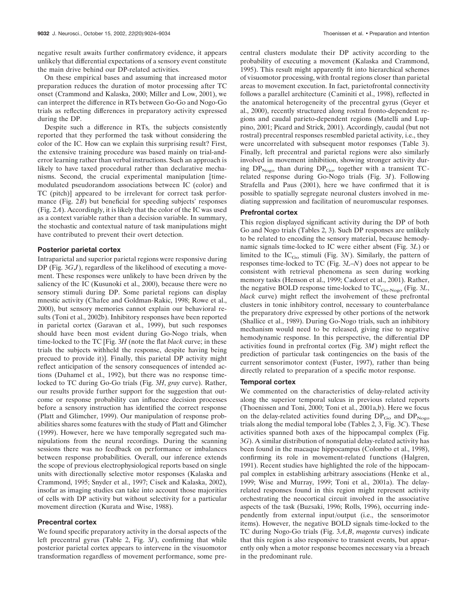negative result awaits further confirmatory evidence, it appears unlikely that differential expectations of a sensory event constitute the main drive behind our DP-related activities.

On these empirical bases and assuming that increased motor preparation reduces the duration of motor processing after TC onset (Crammond and Kalaska, 2000; Miller and Low, 2001), we can interpret the difference in RTs between Go-Go and Nogo-Go trials as reflecting differences in preparatory activity expressed during the DP.

Despite such a difference in RTs, the subjects consistently reported that they performed the task without considering the color of the IC. How can we explain this surprising result? First, the extensive training procedure was based mainly on trial-anderror learning rather than verbal instructions. Such an approach is likely to have taxed procedural rather than declarative mechanisms. Second, the crucial experimental manipulation [timemodulated pseudorandom associations between IC (color) and TC (pitch)] appeared to be irrelevant for correct task performance (Fig. 2*B*) but beneficial for speeding subjects' responses (Fig. 2*A*). Accordingly, it is likely that the color of the IC was used as a context variable rather than a decision variable. In summary, the stochastic and contextual nature of task manipulations might have contributed to prevent their overt detection.

### **Posterior parietal cortex**

Intraparietal and superior parietal regions were responsive during DP (Fig. 3*G*,*J*), regardless of the likelihood of executing a movement. These responses were unlikely to have been driven by the saliency of the IC (Kusunoki et al., 2000), because there were no sensory stimuli during DP. Some parietal regions can display mnestic activity (Chafee and Goldman-Rakic, 1998; Rowe et al., 2000), but sensory memories cannot explain our behavioral results (Toni et al., 2002b). Inhibitory responses have been reported in parietal cortex (Garavan et al., 1999), but such responses should have been most evident during Go-Nogo trials, when time-locked to the TC [Fig. 3*H* (note the flat *black* curve; in these trials the subjects withheld the response, despite having being precued to provide it)]. Finally, this parietal DP activity might reflect anticipation of the sensory consequences of intended actions (Duhamel et al., 1992), but there was no response timelocked to TC during Go-Go trials (Fig. 3*H*, *gray* curve). Rather, our results provide further support for the suggestion that outcome or response probability can influence decision processes before a sensory instruction has identified the correct response (Platt and Glimcher, 1999). Our manipulation of response probabilities shares some features with the study of Platt and Glimcher (1999). However, here we have temporally segregated such manipulations from the neural recordings. During the scanning sessions there was no feedback on performance or imbalances between response probabilities. Overall, our inference extends the scope of previous electrophysiological reports based on single units with directionally selective motor responses (Kalaska and Crammond, 1995; Snyder et al., 1997; Cisek and Kalaska, 2002), insofar as imaging studies can take into account those majorities of cells with DP activity but without selectivity for a particular movement direction (Kurata and Wise, 1988).

## **Precentral cortex**

We found specific preparatory activity in the dorsal aspects of the left precentral gyrus (Table 2, Fig. 3*J*), confirming that while posterior parietal cortex appears to intervene in the visuomotor transformation regardless of movement performance, some precentral clusters modulate their DP activity according to the probability of executing a movement (Kalaska and Crammond, 1995). This result might apparently fit into hierarchical schemes of visuomotor processing, with frontal regions closer than parietal areas to movement execution. In fact, parietofrontal connectivity follows a parallel architecture (Caminiti et al., 1998), reflected in the anatomical heterogeneity of the precentral gyrus (Geyer et al., 2000), recently structured along rostral fronto-dependent regions and caudal parieto-dependent regions (Matelli and Luppino, 2001; Picard and Strick, 2001). Accordingly, caudal (but not rostral) precentral responses resembled parietal activity, i.e., they were uncorrelated with subsequent motor responses (Table 3). Finally, left precentral and parietal regions were also similarly involved in movement inhibition, showing stronger activity during  $DP_{Nogo}$  than during  $DP_{Go}$ , together with a transient TCrelated response during Go-Nogo trials (Fig. 3*I*). Following Strafella and Paus (2001), here we have confirmed that it is possible to spatially segregate neuronal clusters involved in mediating suppression and facilitation of neuromuscular responses.

### **Prefrontal cortex**

This region displayed significant activity during the DP of both Go and Nogo trials (Tables 2, 3). Such DP responses are unlikely to be related to encoding the sensory material, because hemodynamic signals time-locked to IC were either absent (Fig. 3*L*) or limited to the  $IC_{Go}$  stimuli (Fig. 3*N*). Similarly, the pattern of responses time-locked to TC (Fig. 3*L*–*N*) does not appear to be consistent with retrieval phenomena as seen during working memory tasks (Henson et al., 1999; Cadoret et al., 2001). Rather, the negative BOLD response time-locked to  $TC_{Go-Nogo}$  (Fig. 3L, *black* curve) might reflect the involvement of these prefrontal clusters in tonic inhibitory control, necessary to counterbalance the preparatory drive expressed by other portions of the network (Shallice et al., 1989). During Go-Nogo trials, such an inhibitory mechanism would need to be released, giving rise to negative hemodynamic response. In this perspective, the differential DP activities found in prefrontal cortex (Fig. 3*M*) might reflect the prediction of particular task contingencies on the basis of the current sensorimotor context (Fuster, 1997), rather than being directly related to preparation of a specific motor response.

### **Temporal cortex**

We commented on the characteristics of delay-related activity along the superior temporal sulcus in previous related reports (Thoenissen and Toni, 2000; Toni et al., 2001a,b). Here we focus on the delay-related activities found during  $DP_{Go}$  and  $DP_{Nogo}$ trials along the medial temporal lobe (Tables 2, 3, Fig. 3*C*). These activities spanned both axes of the hippocampal complex (Fig. 3*G*). A similar distribution of nonspatial delay-related activity has been found in the macaque hippocampus (Colombo et al., 1998), confirming its role in movement-related functions (Halgren, 1991). Recent studies have highlighted the role of the hippocampal complex in establishing arbitrary associations (Henke et al., 1999; Wise and Murray, 1999; Toni et al., 2001a). The delayrelated responses found in this region might represent activity orchestrating the neocortical circuit involved in the associative aspects of the task (Buzsaki, 1996; Rolls, 1996), occurring independently from external input/output (i.e., the sensorimotor items). However, the negative BOLD signals time-locked to the TC during Nogo-Go trials (Fig. 3*A*,*B*, *magenta* curves) indicate that this region is also responsive to transient events, but apparently only when a motor response becomes necessary via a breach in the predominant rule.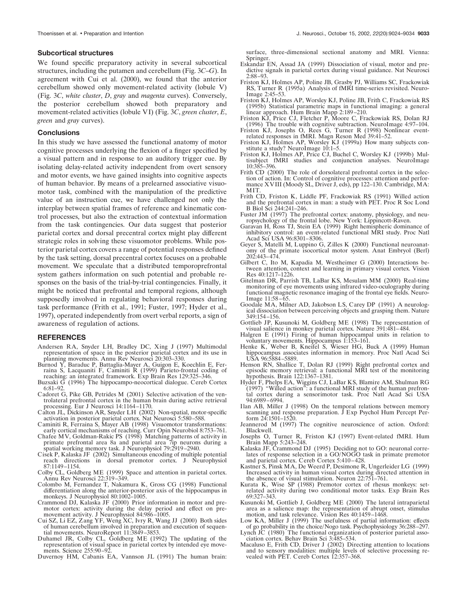### **Subcortical structures**

We found specific preparatory activity in several subcortical structures, including the putamen and cerebellum (Fig. 3*C*–*G*). In agreement with Cui et al. (2000), we found that the anterior cerebellum showed only movement-related activity (lobule V) (Fig. 3*C*, *white cluster*, *D*, *gray* and *magenta* curves). Conversely, the posterior cerebellum showed both preparatory and movement-related activities (lobule VI) (Fig. 3*C*, *green cluster*, *E*, *green* and *gray* curves).

#### **Conclusions**

In this study we have assessed the functional anatomy of motor cognitive processes underlying the flexion of a finger specified by a visual pattern and in response to an auditory trigger cue. By isolating delay-related activity independent from overt sensory and motor events, we have gained insights into cognitive aspects of human behavior. By means of a prelearned associative visuomotor task, combined with the manipulation of the predictive value of an instruction cue, we have challenged not only the interplay between spatial frames of reference and kinematic control processes, but also the extraction of contextual information from the task contingencies. Our data suggest that posterior parietal cortex and dorsal precentral cortex might play different strategic roles in solving these visuomotor problems. While posterior parietal cortex covers a range of potential responses defined by the task setting, dorsal precentral cortex focuses on a probable movement. We speculate that a distributed temporoprefrontal system gathers information on such potential and probable responses on the basis of the trial-by-trial contingencies. Finally, it might be noticed that prefrontal and temporal regions, although supposedly involved in regulating behavioral responses during task performance (Frith et al., 1991; Fuster, 1997; Hyder et al., 1997), operated independently from overt verbal reports, a sign of awareness of regulation of actions.

### **REFERENCES**

- Andersen RA, Snyder LH, Bradley DC, Xing J (1997) Multimodal representation of space in the posterior parietal cortex and its use in planning movements. Annu Rev Neurosci 20:303–330.
- Burnod Y, Baraduc P, Battaglia-Mayer A, Guigon E, Koechlin E, Ferraina S, Lacquaniti F, Caminiti R (1999) Parieto-frontal coding of reaching: an integrated framework. Exp Brain Res 129:325–346.
- Buzsaki G (1996) The hippocampo-neocortical dialogue. Cereb Cortex 6:81–92.
- Cadoret G, Pike GB, Petrides M (2001) Selective activation of the ventrolateral prefrontal cortex in the human brain during active retrieval processing. Eur J Neurosci 14:1164–1170.
- Calton JL, Dickinson AR, Snyder LH (2002) Non-spatial, motor-specific activation in posterior parietal cortex. Nat Neurosci 5:580–588.
- Caminiti R, Ferraina S, Mayer AB (1998) Visuomotor transformations: early cortical mechanisms of reaching. Curr Opin Neurobiol 8:753–761.
- Chafee MV, Goldman-Rakic PS (1998) Matching patterns of activity in primate prefrontal area 8a and parietal area 7ip neurons during a spatial working memory task. J Neurophysiol 79:2919–2940.
- Cisek P, Kalaska JF (2002) Simultaneous encoding of multiple potential reach directions in dorsal premotor cortex. J Neurophysiol 87:1149–1154.
- Colby CL, Goldberg ME (1999) Space and attention in parietal cortex. Annu Rev Neurosci 22:319–349.
- Colombo M, Fernandez T, Nakamura K, Gross CG (1998) Functional differentiation along the anterior-posterior axis of the hippocampus in monkeys. J Neurophysiol 80:1002–1005.
- Crammond DJ, Kalaska JF (2000) Prior information in motor and premotor cortex: activity during the delay period and effect on premovement activity. J Neurophysiol 84:986–1005.
- Cui SZ, Li EZ, Zang YF, Weng XC, Ivry R, Wang JJ (2000) Both sides of human cerebellum involved in preparation and execution of sequential movements. NeuroReport 11:3849–3853.
- Duhamel JR, Colby CL, Goldberg ME (1992) The updating of the representation of visual space in parietal cortex by intended eye movements. Science 255:90-92
- Duvernoy HM, Cabanis EA, Vannson JL (1991) The human brain:

surface, three-dimensional sectional anatomy and MRI. Vienna: Springer.

- Eskandar EN, Assad JA (1999) Dissociation of visual, motor and predictive signals in parietal cortex during visual guidance. Nat Neurosci 2:88–93.
- Friston KJ, Holmes AP, Poline JB, Grasby PJ, Williams SC, Frackowiak RS, Turner R (1995a) Analysis of fMRI time-series revisited. Neuro-Image 2:45–53.
- Friston KJ, Holmes AP, Worsley KJ, Poline JB, Frith C, Frackowiak RS (1995b) Statistical parametric maps in functional imaging: a general linear approach. Hum Brain Mapp 2:189–210.
- Friston KJ, Price CJ, Fletcher P, Moore C, Frackowiak RS, Dolan RJ (1996) The trouble with cognitive subtraction. NeuroImage 4:97–104.
- Friston KJ, Josephs O, Rees G, Turner R (1998) Nonlinear eventrelated responses in fMRI. Magn Reson Med 39:41–52.
- Friston KJ, Holmes AP, Worsley KJ (1999a) How many subjects constitute a study? NeuroImage 10:1-5.
- Friston KJ, Holmes AP, Price CJ, Buchel C, Worsley KJ (1999b) Multisubject fMRI studies and conjunction analyses. NeuroImage 10:385–396.
- Frith CD (2000) The role of dorsolateral prefrontal cortex in the selection of action. In: Control of cognitive processes: attention and performance XVIII (Moody SL, Driver J, eds), pp 122–130. Cambridge, MA: MIT.
- Frith CD, Friston K, Liddle PF, Frackowiak RS (1991) Willed action and the prefrontal cortex in man: a study with PET. Proc R Soc Lond B Biol Sci 244:241–246.
- Fuster JM (1997) The prefrontal cortex: anatomy, physiology, and neu-ropsychology of the frontal lobe. New York: Lippincott-Raven.
- Garavan H, Ross TJ, Stein EA (1999) Right hemispheric dominance of inhibitory control: an event-related functional MRI study. Proc Natl Acad Sci USA 96:8301–8306.
- Geyer S, Matelli M, Luppino G, Zilles K (2000) Functional neuroanatomy of the primate isocortical motor system. Anat Embryol (Berl) 202:443–474.
- Gilbert C, Ito M, Kapadia M, Westheimer G (2000) Interactions between attention, context and learning in primary visual cortex. Vision Res 40:1217–1226.
- Gitelman DR, Parrish TB, LaBar KS, Mesulam MM (2000) Real-time monitoring of eye movements using infrared video-oculography during functional magnetic resonance imaging of the frontal eye fields. Neuro-Image 11:58–65.
- Goodale MA, Milner AD, Jakobson LS, Carey DP (1991) A neurological dissociation between perceiving objects and grasping them. Nature 349:154–156.
- Gottlieb JP, Kusunoki M, Goldberg ME (1998) The representation of visual salience in monkey parietal cortex. Nature 391:481–484.
- Halgren E (1991) Firing of human hippocampal units in relation to voluntary movements. Hippocampus 1:153–161.
- Henke K, Weber B, Kneifel S, Wieser HG, Buck A (1999) Human hippocampus associates information in memory. Proc Natl Acad Sci USA 96:5884–5889.
- Henson RN, Shallice T, Dolan RJ (1999) Right prefrontal cortex and episodic memory retrieval: a functional MRI test of the monitoring hypothesis. Brain 122:1367–1381.
- Hyder F, Phelps EA, Wiggins CJ, LaBar KS, Blamire AM, Shulman RG (1997) "Willed action": a functional MRI study of the human prefrontal cortex during a sensorimotor task. Proc Natl Acad Sci USA 94:6989–6994.
- Ilan AB, Miller J (1998) On the temporal relations between memory scanning and response preparation. J Exp Psychol Hum Percept Perform 24:1501–1520.
- Jeannerod M (1997) The cognitive neuroscience of action. Oxford: Blackwell.
- Josephs O, Turner R, Friston KJ (1997) Event-related fMRI. Hum Brain Mapp 5:243–248.
- Kalaska JF, Crammond DJ (1995) Deciding not to GO: neuronal correlates of response selection in a GO/NOGO task in primate premotor and parietal cortex. Cereb Cortex 5:410–428.
- Kastner S, Pinsk MA, De Weerd P, Desimone R, Ungerleider LG (1999) Increased activity in human visual cortex during directed attention in the absence of visual stimulation. Neuron 22:751–761.
- Kurata K, Wise SP (1988) Premotor cortex of rhesus monkeys: setrelated activity during two conditional motor tasks. Exp Brain Res 69:327–343.
- Kusunoki M, Gottlieb J, Goldberg ME (2000) The lateral intraparietal area as a salience map: the representation of abrupt onset, stimulus motion, and task relevance. Vision Res 40:1459–1468.
- Low KA, Miller J (1999) The usefulness of partial information: effects of go probability in the choice/Nogo task. Psychophysiology 36:288–297.
- Lynch JC (1980) The functional organization of posterior parietal association cortex. Behav Brain Sci 3:485–534.
- Macaluso E, Frith CD, Driver J (2002) Directing attention to locations and to sensory modalities: multiple levels of selective processing revealed with PET. Cereb Cortex 12:357–368.